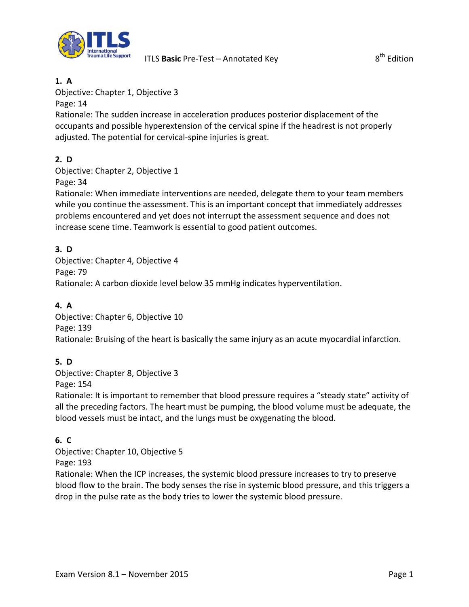

#### **1. A**

Objective: Chapter 1, Objective 3

Page: 14

Rationale: The sudden increase in acceleration produces posterior displacement of the occupants and possible hyperextension of the cervical spine if the headrest is not properly adjusted. The potential for cervical-spine injuries is great.

# **2. D**

Objective: Chapter 2, Objective 1

Page: 34

Rationale: When immediate interventions are needed, delegate them to your team members while you continue the assessment. This is an important concept that immediately addresses problems encountered and yet does not interrupt the assessment sequence and does not increase scene time. Teamwork is essential to good patient outcomes.

### **3. D**

Objective: Chapter 4, Objective 4 Page: 79 Rationale: A carbon dioxide level below 35 mmHg indicates hyperventilation.

### **4. A**

Objective: Chapter 6, Objective 10 Page: 139 Rationale: Bruising of the heart is basically the same injury as an acute myocardial infarction.

## **5. D**

Objective: Chapter 8, Objective 3

Page: 154

Rationale: It is important to remember that blood pressure requires a "steady state" activity of all the preceding factors. The heart must be pumping, the blood volume must be adequate, the blood vessels must be intact, and the lungs must be oxygenating the blood.

## **6. C**

Objective: Chapter 10, Objective 5 Page: 193

Rationale: When the ICP increases, the systemic blood pressure increases to try to preserve blood flow to the brain. The body senses the rise in systemic blood pressure, and this triggers a drop in the pulse rate as the body tries to lower the systemic blood pressure.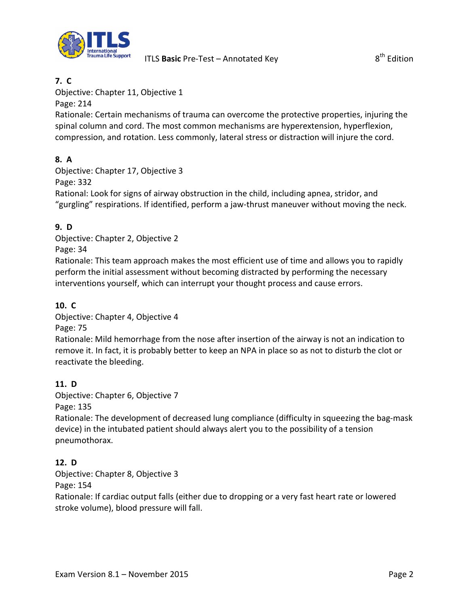

### **7. C**

Objective: Chapter 11, Objective 1

Page: 214

Rationale: Certain mechanisms of trauma can overcome the protective properties, injuring the spinal column and cord. The most common mechanisms are hyperextension, hyperflexion, compression, and rotation. Less commonly, lateral stress or distraction will injure the cord.

## **8. A**

Objective: Chapter 17, Objective 3 Page: 332 Rational: Look for signs of airway obstruction in the child, including apnea, stridor, and "gurgling" respirations. If identified, perform a jaw-thrust maneuver without moving the neck.

## **9. D**

Objective: Chapter 2, Objective 2 Page: 34

Rationale: This team approach makes the most efficient use of time and allows you to rapidly perform the initial assessment without becoming distracted by performing the necessary interventions yourself, which can interrupt your thought process and cause errors.

## **10. C**

Objective: Chapter 4, Objective 4

Page: 75

Rationale: Mild hemorrhage from the nose after insertion of the airway is not an indication to remove it. In fact, it is probably better to keep an NPA in place so as not to disturb the clot or reactivate the bleeding.

## **11. D**

Objective: Chapter 6, Objective 7

Page: 135

Rationale: The development of decreased lung compliance (difficulty in squeezing the bag-mask device) in the intubated patient should always alert you to the possibility of a tension pneumothorax.

## **12. D**

Objective: Chapter 8, Objective 3 Page: 154 Rationale: If cardiac output falls (either due to dropping or a very fast heart rate or lowered stroke volume), blood pressure will fall.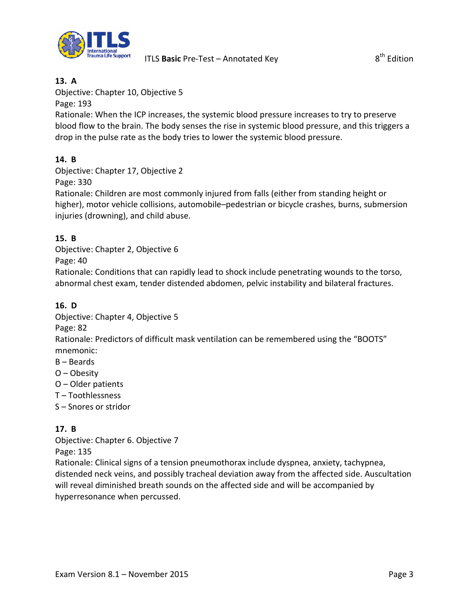

#### **13. A**

Objective: Chapter 10, Objective 5

Page: 193

Rationale: When the ICP increases, the systemic blood pressure increases to try to preserve blood flow to the brain. The body senses the rise in systemic blood pressure, and this triggers a drop in the pulse rate as the body tries to lower the systemic blood pressure.

#### **14. B**

Objective: Chapter 17, Objective 2

Page: 330

Rationale: Children are most commonly injured from falls (either from standing height or higher), motor vehicle collisions, automobile–pedestrian or bicycle crashes, burns, submersion injuries (drowning), and child abuse.

#### **15. B**

Objective: Chapter 2, Objective 6

Page: 40

Rationale: Conditions that can rapidly lead to shock include penetrating wounds to the torso, abnormal chest exam, tender distended abdomen, pelvic instability and bilateral fractures.

### **16. D**

Objective: Chapter 4, Objective 5

Page: 82

Rationale: Predictors of difficult mask ventilation can be remembered using the "BOOTS" mnemonic:

- B Beards
- O Obesity
- O Older patients
- T Toothlessness
- S Snores or stridor

## **17. B**

Objective: Chapter 6. Objective 7 Page: 135

Rationale: Clinical signs of a tension pneumothorax include dyspnea, anxiety, tachypnea, distended neck veins, and possibly tracheal deviation away from the affected side. Auscultation will reveal diminished breath sounds on the affected side and will be accompanied by hyperresonance when percussed.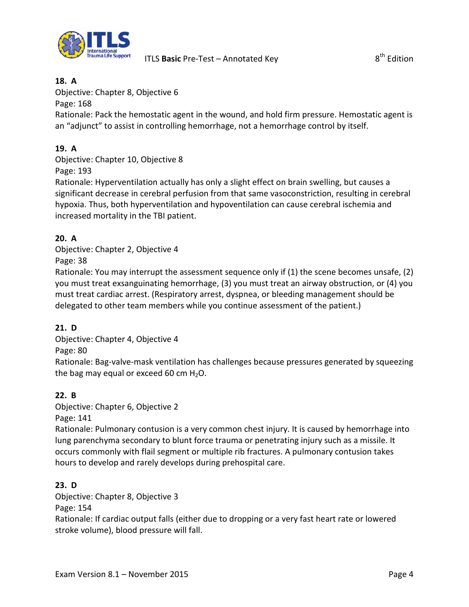

#### **18. A**

Objective: Chapter 8, Objective 6

Page: 168

Rationale: Pack the hemostatic agent in the wound, and hold firm pressure. Hemostatic agent is an "adjunct" to assist in controlling hemorrhage, not a hemorrhage control by itself.

## **19. A**

Objective: Chapter 10, Objective 8 Page: 193

Rationale: Hyperventilation actually has only a slight effect on brain swelling, but causes a significant decrease in cerebral perfusion from that same vasoconstriction, resulting in cerebral hypoxia. Thus, both hyperventilation and hypoventilation can cause cerebral ischemia and increased mortality in the TBI patient.

### **20. A**

Objective: Chapter 2, Objective 4 Page: 38

Rationale: You may interrupt the assessment sequence only if (1) the scene becomes unsafe, (2) you must treat exsanguinating hemorrhage, (3) you must treat an airway obstruction, or (4) you must treat cardiac arrest. (Respiratory arrest, dyspnea, or bleeding management should be delegated to other team members while you continue assessment of the patient.)

## **21. D**

Objective: Chapter 4, Objective 4 Page: 80

Rationale: Bag-valve-mask ventilation has challenges because pressures generated by squeezing the bag may equal or exceed 60 cm  $H_2O$ .

#### **22. B**

Objective: Chapter 6, Objective 2

Page: 141

Rationale: Pulmonary contusion is a very common chest injury. It is caused by hemorrhage into lung parenchyma secondary to blunt force trauma or penetrating injury such as a missile. It occurs commonly with flail segment or multiple rib fractures. A pulmonary contusion takes hours to develop and rarely develops during prehospital care.

## **23. D**

Objective: Chapter 8, Objective 3

Page: 154

Rationale: If cardiac output falls (either due to dropping or a very fast heart rate or lowered stroke volume), blood pressure will fall.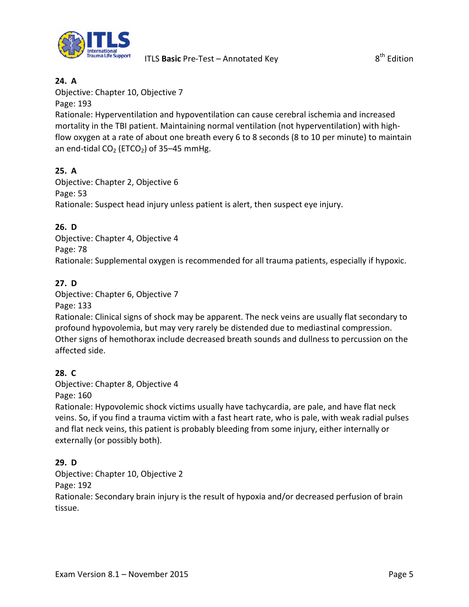

### **24. A**

Objective: Chapter 10, Objective 7

Page: 193

Rationale: Hyperventilation and hypoventilation can cause cerebral ischemia and increased mortality in the TBI patient. Maintaining normal ventilation (not hyperventilation) with highflow oxygen at a rate of about one breath every 6 to 8 seconds (8 to 10 per minute) to maintain an end-tidal  $CO<sub>2</sub>$  (ETCO<sub>2</sub>) of 35–45 mmHg.

## **25. A**

Objective: Chapter 2, Objective 6 Page: 53 Rationale: Suspect head injury unless patient is alert, then suspect eye injury.

## **26. D**

Objective: Chapter 4, Objective 4 Page: 78 Rationale: Supplemental oxygen is recommended for all trauma patients, especially if hypoxic.

### **27. D**

Objective: Chapter 6, Objective 7

Page: 133

Rationale: Clinical signs of shock may be apparent. The neck veins are usually flat secondary to profound hypovolemia, but may very rarely be distended due to mediastinal compression. Other signs of hemothorax include decreased breath sounds and dullness to percussion on the affected side.

#### **28. C**

Objective: Chapter 8, Objective 4 Page: 160

Rationale: Hypovolemic shock victims usually have tachycardia, are pale, and have flat neck veins. So, if you find a trauma victim with a fast heart rate, who is pale, with weak radial pulses and flat neck veins, this patient is probably bleeding from some injury, either internally or externally (or possibly both).

#### **29. D**

Objective: Chapter 10, Objective 2

Page: 192

Rationale: Secondary brain injury is the result of hypoxia and/or decreased perfusion of brain tissue.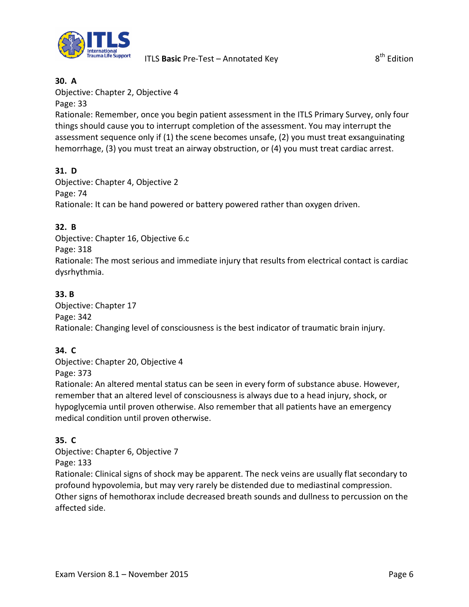

#### **30. A**

Objective: Chapter 2, Objective 4

Page: 33

Rationale: Remember, once you begin patient assessment in the ITLS Primary Survey, only four things should cause you to interrupt completion of the assessment. You may interrupt the assessment sequence only if (1) the scene becomes unsafe, (2) you must treat exsanguinating hemorrhage, (3) you must treat an airway obstruction, or (4) you must treat cardiac arrest.

### **31. D**

Objective: Chapter 4, Objective 2 Page: 74 Rationale: It can be hand powered or battery powered rather than oxygen driven.

#### **32. B**

Objective: Chapter 16, Objective 6.c Page: 318 Rationale: The most serious and immediate injury that results from electrical contact is cardiac dysrhythmia.

#### **33. B**

Objective: Chapter 17 Page: 342 Rationale: Changing level of consciousness is the best indicator of traumatic brain injury.

#### **34. C**

Objective: Chapter 20, Objective 4 Page: 373

Rationale: An altered mental status can be seen in every form of substance abuse. However, remember that an altered level of consciousness is always due to a head injury, shock, or hypoglycemia until proven otherwise. Also remember that all patients have an emergency medical condition until proven otherwise.

#### **35. C**

Objective: Chapter 6, Objective 7 Page: 133

Rationale: Clinical signs of shock may be apparent. The neck veins are usually flat secondary to profound hypovolemia, but may very rarely be distended due to mediastinal compression. Other signs of hemothorax include decreased breath sounds and dullness to percussion on the affected side.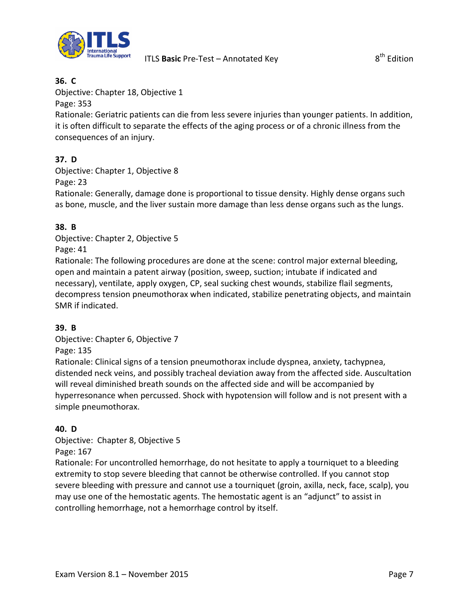

#### **36. C**

Objective: Chapter 18, Objective 1

Page: 353

Rationale: Geriatric patients can die from less severe injuries than younger patients. In addition, it is often difficult to separate the effects of the aging process or of a chronic illness from the consequences of an injury.

### **37. D**

Objective: Chapter 1, Objective 8

Page: 23

Rationale: Generally, damage done is proportional to tissue density. Highly dense organs such as bone, muscle, and the liver sustain more damage than less dense organs such as the lungs.

#### **38. B**

Objective: Chapter 2, Objective 5 Page: 41

Rationale: The following procedures are done at the scene: control major external bleeding, open and maintain a patent airway (position, sweep, suction; intubate if indicated and necessary), ventilate, apply oxygen, CP, seal sucking chest wounds, stabilize flail segments, decompress tension pneumothorax when indicated, stabilize penetrating objects, and maintain SMR if indicated.

#### **39. B**

Objective: Chapter 6, Objective 7 Page: 135

Rationale: Clinical signs of a tension pneumothorax include dyspnea, anxiety, tachypnea, distended neck veins, and possibly tracheal deviation away from the affected side. Auscultation will reveal diminished breath sounds on the affected side and will be accompanied by hyperresonance when percussed. Shock with hypotension will follow and is not present with a simple pneumothorax.

## **40. D**

Objective: Chapter 8, Objective 5

Page: 167

Rationale: For uncontrolled hemorrhage, do not hesitate to apply a tourniquet to a bleeding extremity to stop severe bleeding that cannot be otherwise controlled. If you cannot stop severe bleeding with pressure and cannot use a tourniquet (groin, axilla, neck, face, scalp), you may use one of the hemostatic agents. The hemostatic agent is an "adjunct" to assist in controlling hemorrhage, not a hemorrhage control by itself.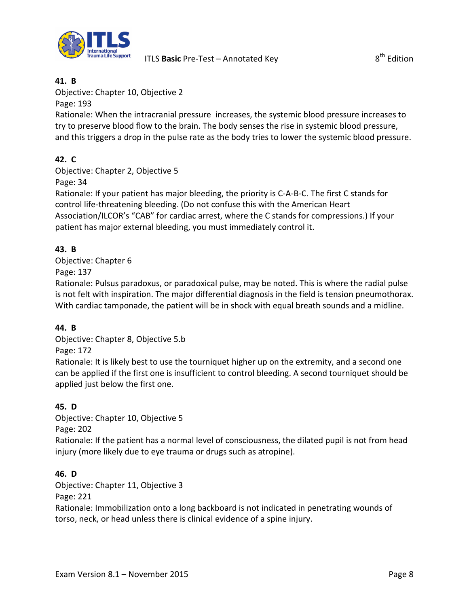

#### **41. B**

Objective: Chapter 10, Objective 2

Page: 193

Rationale: When the intracranial pressure increases, the systemic blood pressure increases to try to preserve blood flow to the brain. The body senses the rise in systemic blood pressure, and this triggers a drop in the pulse rate as the body tries to lower the systemic blood pressure.

### **42. C**

Objective: Chapter 2, Objective 5

Page: 34

Rationale: If your patient has major bleeding, the priority is C-A-B-C. The first C stands for control life-threatening bleeding. (Do not confuse this with the American Heart Association/ILCOR's "CAB" for cardiac arrest, where the C stands for compressions.) If your patient has major external bleeding, you must immediately control it.

#### **43. B**

Objective: Chapter 6 Page: 137

Rationale: Pulsus paradoxus, or paradoxical pulse, may be noted. This is where the radial pulse is not felt with inspiration. The major differential diagnosis in the field is tension pneumothorax. With cardiac tamponade, the patient will be in shock with equal breath sounds and a midline.

#### **44. B**

Objective: Chapter 8, Objective 5.b Page: 172

Rationale: It is likely best to use the tourniquet higher up on the extremity, and a second one can be applied if the first one is insufficient to control bleeding. A second tourniquet should be applied just below the first one.

#### **45. D**

Objective: Chapter 10, Objective 5

Page: 202

Rationale: If the patient has a normal level of consciousness, the dilated pupil is not from head injury (more likely due to eye trauma or drugs such as atropine).

#### **46. D**

Objective: Chapter 11, Objective 3

Page: 221

Rationale: Immobilization onto a long backboard is not indicated in penetrating wounds of torso, neck, or head unless there is clinical evidence of a spine injury.